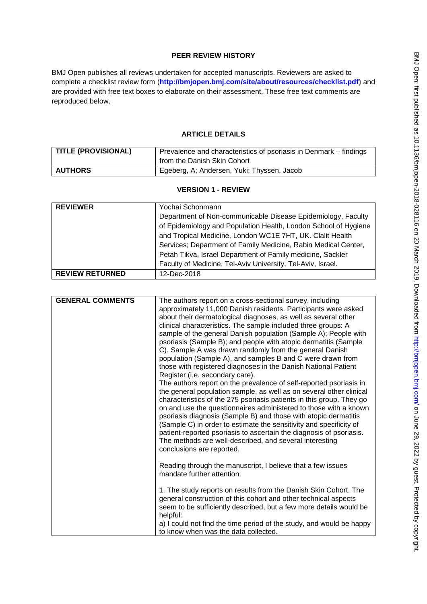# **PEER REVIEW HISTORY**

BMJ Open publishes all reviews undertaken for accepted manuscripts. Reviewers are asked to complete a checklist review form (**[http://bmjopen.bmj.com/site/about/resources/checklist.pdf\)](http://bmjopen.bmj.com/site/about/resources/checklist.pdf)** and are provided with free text boxes to elaborate on their assessment. These free text comments are reproduced below.

# **ARTICLE DETAILS**

| TITLE (PROVISIONAL) | Prevalence and characteristics of psoriasis in Denmark - findings<br>from the Danish Skin Cohort |
|---------------------|--------------------------------------------------------------------------------------------------|
| AUTHORS             | Egeberg, A; Andersen, Yuki; Thyssen, Jacob                                                       |

## **VERSION 1 - REVIEW**

| <b>REVIEWER</b>        | Yochai Schonmann                                                |
|------------------------|-----------------------------------------------------------------|
|                        | Department of Non-communicable Disease Epidemiology, Faculty    |
|                        | of Epidemiology and Population Health, London School of Hygiene |
|                        | and Tropical Medicine, London WC1E 7HT, UK. Clalit Health       |
|                        | Services; Department of Family Medicine, Rabin Medical Center,  |
|                        | Petah Tikva, Israel Department of Family medicine, Sackler      |
|                        | Faculty of Medicine, Tel-Aviv University, Tel-Aviv, Israel.     |
| <b>REVIEW RETURNED</b> | 12-Dec-2018                                                     |

| <b>GENERAL COMMENTS</b> | The authors report on a cross-sectional survey, including<br>approximately 11,000 Danish residents. Participants were asked<br>about their dermatological diagnoses, as well as several other<br>clinical characteristics. The sample included three groups: A<br>sample of the general Danish population (Sample A); People with<br>psoriasis (Sample B); and people with atopic dermatitis (Sample<br>C). Sample A was drawn randomly from the general Danish<br>population (Sample A), and samples B and C were drawn from<br>those with registered diagnoses in the Danish National Patient<br>Register (i.e. secondary care).<br>The authors report on the prevalence of self-reported psoriasis in<br>the general population sample, as well as on several other clinical<br>characteristics of the 275 psoriasis patients in this group. They go<br>on and use the questionnaires administered to those with a known<br>psoriasis diagnosis (Sample B) and those with atopic dermatitis<br>(Sample C) in order to estimate the sensitivity and specificity of<br>patient-reported psoriasis to ascertain the diagnosis of psoriasis.<br>The methods are well-described, and several interesting<br>conclusions are reported. |
|-------------------------|-------------------------------------------------------------------------------------------------------------------------------------------------------------------------------------------------------------------------------------------------------------------------------------------------------------------------------------------------------------------------------------------------------------------------------------------------------------------------------------------------------------------------------------------------------------------------------------------------------------------------------------------------------------------------------------------------------------------------------------------------------------------------------------------------------------------------------------------------------------------------------------------------------------------------------------------------------------------------------------------------------------------------------------------------------------------------------------------------------------------------------------------------------------------------------------------------------------------------------------|
|                         | Reading through the manuscript, I believe that a few issues<br>mandate further attention.                                                                                                                                                                                                                                                                                                                                                                                                                                                                                                                                                                                                                                                                                                                                                                                                                                                                                                                                                                                                                                                                                                                                           |
|                         | 1. The study reports on results from the Danish Skin Cohort. The<br>general construction of this cohort and other technical aspects<br>seem to be sufficiently described, but a few more details would be<br>helpful:                                                                                                                                                                                                                                                                                                                                                                                                                                                                                                                                                                                                                                                                                                                                                                                                                                                                                                                                                                                                               |
|                         | a) I could not find the time period of the study, and would be happy<br>to know when was the data collected.                                                                                                                                                                                                                                                                                                                                                                                                                                                                                                                                                                                                                                                                                                                                                                                                                                                                                                                                                                                                                                                                                                                        |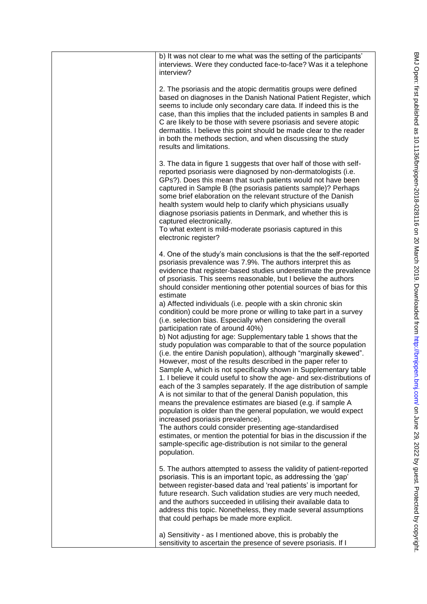| b) It was not clear to me what was the setting of the participants'<br>interviews. Were they conducted face-to-face? Was it a telephone<br>interview?                                                                                                                                                                                                                                                                                                                                                                                                                                                                                                                                                                                                                                                                                                                                                                                                                                                                                                                                                                                                                                                    |
|----------------------------------------------------------------------------------------------------------------------------------------------------------------------------------------------------------------------------------------------------------------------------------------------------------------------------------------------------------------------------------------------------------------------------------------------------------------------------------------------------------------------------------------------------------------------------------------------------------------------------------------------------------------------------------------------------------------------------------------------------------------------------------------------------------------------------------------------------------------------------------------------------------------------------------------------------------------------------------------------------------------------------------------------------------------------------------------------------------------------------------------------------------------------------------------------------------|
| 2. The psoriasis and the atopic dermatitis groups were defined<br>based on diagnoses in the Danish National Patient Register, which<br>seems to include only secondary care data. If indeed this is the<br>case, than this implies that the included patients in samples B and<br>C are likely to be those with severe psoriasis and severe atopic<br>dermatitis. I believe this point should be made clear to the reader<br>in both the methods section, and when discussing the study<br>results and limitations.                                                                                                                                                                                                                                                                                                                                                                                                                                                                                                                                                                                                                                                                                      |
| 3. The data in figure 1 suggests that over half of those with self-<br>reported psoriasis were diagnosed by non-dermatologists (i.e.<br>GPs?). Does this mean that such patients would not have been<br>captured in Sample B (the psoriasis patients sample)? Perhaps<br>some brief elaboration on the relevant structure of the Danish<br>health system would help to clarify which physicians usually<br>diagnose psoriasis patients in Denmark, and whether this is<br>captured electronically.<br>To what extent is mild-moderate psoriasis captured in this<br>electronic register?                                                                                                                                                                                                                                                                                                                                                                                                                                                                                                                                                                                                                 |
| 4. One of the study's main conclusions is that the the self-reported<br>psoriasis prevalence was 7.9%. The authors interpret this as<br>evidence that register-based studies underestimate the prevalence<br>of psoriasis. This seems reasonable, but I believe the authors<br>should consider mentioning other potential sources of bias for this<br>estimate                                                                                                                                                                                                                                                                                                                                                                                                                                                                                                                                                                                                                                                                                                                                                                                                                                           |
| a) Affected individuals (i.e. people with a skin chronic skin<br>condition) could be more prone or willing to take part in a survey<br>(i.e. selection bias. Especially when considering the overall<br>participation rate of around 40%)<br>b) Not adjusting for age: Supplementary table 1 shows that the<br>study population was comparable to that of the source population<br>(i.e. the entire Danish population), although "marginally skewed".<br>However, most of the results described in the paper refer to<br>Sample A, which is not specifically shown in Supplementary table<br>1. I believe it could useful to show the age- and sex-distributions of<br>each of the 3 samples separately. If the age distribution of sample<br>A is not similar to that of the general Danish population, this<br>means the prevalence estimates are biased (e.g. if sample A<br>population is older than the general population, we would expect<br>increased psoriasis prevalence).<br>The authors could consider presenting age-standardised<br>estimates, or mention the potential for bias in the discussion if the<br>sample-specific age-distribution is not similar to the general<br>population. |
| 5. The authors attempted to assess the validity of patient-reported<br>psoriasis. This is an important topic, as addressing the 'gap'<br>between register-based data and 'real patients' is important for<br>future research. Such validation studies are very much needed,<br>and the authors succeeded in utilising their available data to<br>address this topic. Nonetheless, they made several assumptions<br>that could perhaps be made more explicit.                                                                                                                                                                                                                                                                                                                                                                                                                                                                                                                                                                                                                                                                                                                                             |
| a) Sensitivity - as I mentioned above, this is probably the<br>sensitivity to ascertain the presence of severe psoriasis. If I                                                                                                                                                                                                                                                                                                                                                                                                                                                                                                                                                                                                                                                                                                                                                                                                                                                                                                                                                                                                                                                                           |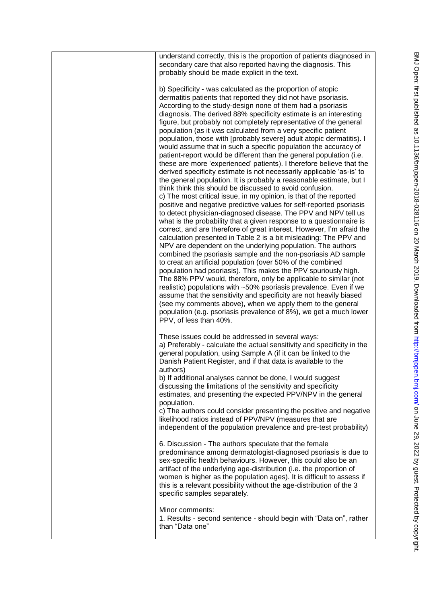| understand correctly, this is the proportion of patients diagnosed in<br>secondary care that also reported having the diagnosis. This<br>probably should be made explicit in the text.                                                                                                                                                                                                                                                                                                                                                                                                                                                                                                                                                                                                                                                                                                                                                                                                                                                                                                                                                                                                                                                                                                                                                                                                                                                                                                                                                                                                                                                                                                                                                                                                                                                                                                                                                                                                        |
|-----------------------------------------------------------------------------------------------------------------------------------------------------------------------------------------------------------------------------------------------------------------------------------------------------------------------------------------------------------------------------------------------------------------------------------------------------------------------------------------------------------------------------------------------------------------------------------------------------------------------------------------------------------------------------------------------------------------------------------------------------------------------------------------------------------------------------------------------------------------------------------------------------------------------------------------------------------------------------------------------------------------------------------------------------------------------------------------------------------------------------------------------------------------------------------------------------------------------------------------------------------------------------------------------------------------------------------------------------------------------------------------------------------------------------------------------------------------------------------------------------------------------------------------------------------------------------------------------------------------------------------------------------------------------------------------------------------------------------------------------------------------------------------------------------------------------------------------------------------------------------------------------------------------------------------------------------------------------------------------------|
| b) Specificity - was calculated as the proportion of atopic<br>dermatitis patients that reported they did not have psoriasis.<br>According to the study-design none of them had a psoriasis<br>diagnosis. The derived 88% specificity estimate is an interesting<br>figure, but probably not completely representative of the general<br>population (as it was calculated from a very specific patient<br>population, those with [probably severe] adult atopic dermatitis). I<br>would assume that in such a specific population the accuracy of<br>patient-report would be different than the general population (i.e.<br>these are more 'experienced' patients). I therefore believe that the<br>derived specificity estimate is not necessarily applicable 'as-is' to<br>the general population. It is probably a reasonable estimate, but I<br>think think this should be discussed to avoid confusion.<br>c) The most critical issue, in my opinion, is that of the reported<br>positive and negative predictive values for self-reported psoriasis<br>to detect physician-diagnosed disease. The PPV and NPV tell us<br>what is the probability that a given response to a questionnaire is<br>correct, and are therefore of great interest. However, I'm afraid the<br>calculation presented in Table 2 is a bit misleading: The PPV and<br>NPV are dependent on the underlying population. The authors<br>combined the psoriasis sample and the non-psoriasis AD sample<br>to creat an artificial population (over 50% of the combined<br>population had psoriasis). This makes the PPV spuriously high.<br>The 88% PPV would, therefore, only be applicable to similar (not<br>realistic) populations with ~50% psoriasis prevalence. Even if we<br>assume that the sensitivity and specificity are not heavily biased<br>(see my comments above), when we apply them to the general<br>population (e.g. psoriasis prevalence of 8%), we get a much lower<br>PPV, of less than 40%. |
| These issues could be addressed in several ways:<br>a) Preferably - calculate the actual sensitivity and specificity in the<br>general population, using Sample A (if it can be linked to the<br>Danish Patient Register, and if that data is available to the<br>authors)<br>b) If additional analyses cannot be done, I would suggest<br>discussing the limitations of the sensitivity and specificity<br>estimates, and presenting the expected PPV/NPV in the general<br>population.<br>c) The authors could consider presenting the positive and negative<br>likelihood ratios instead of PPV/NPV (measures that are<br>independent of the population prevalence and pre-test probability)                                                                                                                                                                                                                                                                                                                                                                                                                                                                                                                                                                                                                                                                                                                                                                                                                                                                                                                                                                                                                                                                                                                                                                                                                                                                                               |
| 6. Discussion - The authors speculate that the female<br>predominance among dermatologist-diagnosed psoriasis is due to<br>sex-specific health behaviours. However, this could also be an<br>artifact of the underlying age-distribution (i.e. the proportion of<br>women is higher as the population ages). It is difficult to assess if<br>this is a relevant possibility without the age-distribution of the 3<br>specific samples separately.                                                                                                                                                                                                                                                                                                                                                                                                                                                                                                                                                                                                                                                                                                                                                                                                                                                                                                                                                                                                                                                                                                                                                                                                                                                                                                                                                                                                                                                                                                                                             |
| Minor comments:<br>1. Results - second sentence - should begin with "Data on", rather<br>than "Data one"                                                                                                                                                                                                                                                                                                                                                                                                                                                                                                                                                                                                                                                                                                                                                                                                                                                                                                                                                                                                                                                                                                                                                                                                                                                                                                                                                                                                                                                                                                                                                                                                                                                                                                                                                                                                                                                                                      |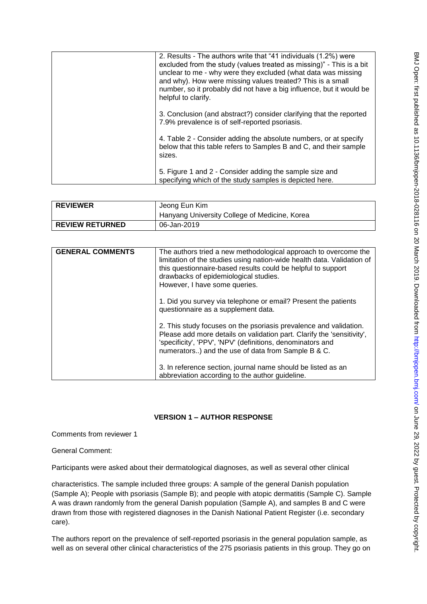| 2. Results - The authors write that "41 individuals (1.2%) were<br>excluded from the study (values treated as missing)" - This is a bit<br>unclear to me - why were they excluded (what data was missing<br>and why). How were missing values treated? This is a small<br>number, so it probably did not have a big influence, but it would be<br>helpful to clarify. |
|-----------------------------------------------------------------------------------------------------------------------------------------------------------------------------------------------------------------------------------------------------------------------------------------------------------------------------------------------------------------------|
| 3. Conclusion (and abstract?) consider clarifying that the reported<br>7.9% prevalence is of self-reported psoriasis.                                                                                                                                                                                                                                                 |
| 4. Table 2 - Consider adding the absolute numbers, or at specify<br>below that this table refers to Samples B and C, and their sample<br>sizes.                                                                                                                                                                                                                       |
| 5. Figure 1 and 2 - Consider adding the sample size and<br>specifying which of the study samples is depicted here.                                                                                                                                                                                                                                                    |

| <b>REVIEWER</b>        | Jeong Eun Kim<br>Hanyang University College of Medicine, Korea |
|------------------------|----------------------------------------------------------------|
| <b>REVIEW RETURNED</b> | 06-Jan-2019                                                    |

| <b>GENERAL COMMENTS</b> | The authors tried a new methodological approach to overcome the<br>limitation of the studies using nation-wide health data. Validation of<br>this questionnaire-based results could be helpful to support<br>drawbacks of epidemiological studies.<br>However, I have some queries. |
|-------------------------|-------------------------------------------------------------------------------------------------------------------------------------------------------------------------------------------------------------------------------------------------------------------------------------|
|                         | 1. Did you survey via telephone or email? Present the patients<br>questionnaire as a supplement data.                                                                                                                                                                               |
|                         | 2. This study focuses on the psoriasis prevalence and validation.<br>Please add more details on validation part. Clarify the 'sensitivity',<br>'specificity', 'PPV', 'NPV' (definitions, denominators and<br>numerators) and the use of data from Sample B & C.                     |
|                         | 3. In reference section, journal name should be listed as an<br>abbreviation according to the author guideline.                                                                                                                                                                     |

## **VERSION 1 – AUTHOR RESPONSE**

Comments from reviewer 1

General Comment:

Participants were asked about their dermatological diagnoses, as well as several other clinical

characteristics. The sample included three groups: A sample of the general Danish population (Sample A); People with psoriasis (Sample B); and people with atopic dermatitis (Sample C). Sample A was drawn randomly from the general Danish population (Sample A), and samples B and C were drawn from those with registered diagnoses in the Danish National Patient Register (i.e. secondary care).

The authors report on the prevalence of self-reported psoriasis in the general population sample, as well as on several other clinical characteristics of the 275 psoriasis patients in this group. They go on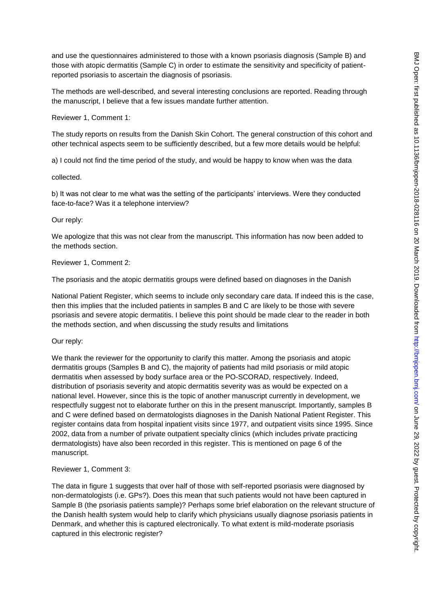and use the questionnaires administered to those with a known psoriasis diagnosis (Sample B) and those with atopic dermatitis (Sample C) in order to estimate the sensitivity and specificity of patientreported psoriasis to ascertain the diagnosis of psoriasis.

The methods are well-described, and several interesting conclusions are reported. Reading through the manuscript, I believe that a few issues mandate further attention.

Reviewer 1, Comment 1:

The study reports on results from the Danish Skin Cohort. The general construction of this cohort and other technical aspects seem to be sufficiently described, but a few more details would be helpful:

a) I could not find the time period of the study, and would be happy to know when was the data

collected.

b) It was not clear to me what was the setting of the participants' interviews. Were they conducted face-to-face? Was it a telephone interview?

Our reply:

We apologize that this was not clear from the manuscript. This information has now been added to the methods section.

Reviewer 1, Comment 2:

The psoriasis and the atopic dermatitis groups were defined based on diagnoses in the Danish

National Patient Register, which seems to include only secondary care data. If indeed this is the case, then this implies that the included patients in samples B and C are likely to be those with severe psoriasis and severe atopic dermatitis. I believe this point should be made clear to the reader in both the methods section, and when discussing the study results and limitations

Our reply:

We thank the reviewer for the opportunity to clarify this matter. Among the psoriasis and atopic dermatitis groups (Samples B and C), the majority of patients had mild psoriasis or mild atopic dermatitis when assessed by body surface area or the PO-SCORAD, respectively. Indeed, distribution of psoriasis severity and atopic dermatitis severity was as would be expected on a national level. However, since this is the topic of another manuscript currently in development, we respectfully suggest not to elaborate further on this in the present manuscript. Importantly, samples B and C were defined based on dermatologists diagnoses in the Danish National Patient Register. This register contains data from hospital inpatient visits since 1977, and outpatient visits since 1995. Since 2002, data from a number of private outpatient specialty clinics (which includes private practicing dermatologists) have also been recorded in this register. This is mentioned on page 6 of the manuscript.

Reviewer 1, Comment 3:

The data in figure 1 suggests that over half of those with self-reported psoriasis were diagnosed by non-dermatologists (i.e. GPs?). Does this mean that such patients would not have been captured in Sample B (the psoriasis patients sample)? Perhaps some brief elaboration on the relevant structure of the Danish health system would help to clarify which physicians usually diagnose psoriasis patients in Denmark, and whether this is captured electronically. To what extent is mild-moderate psoriasis captured in this electronic register?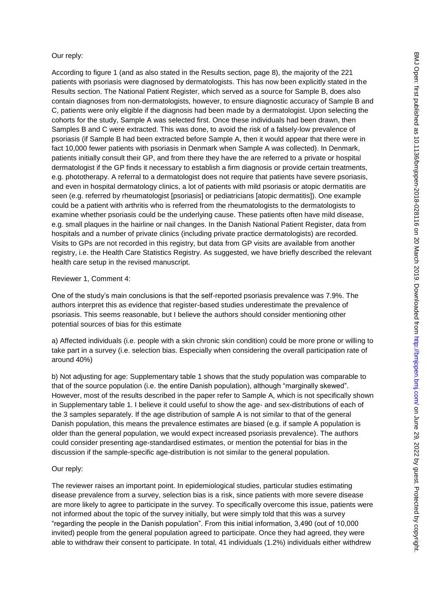### Our reply:

According to figure 1 (and as also stated in the Results section, page 8), the majority of the 221 patients with psoriasis were diagnosed by dermatologists. This has now been explicitly stated in the Results section. The National Patient Register, which served as a source for Sample B, does also contain diagnoses from non-dermatologists, however, to ensure diagnostic accuracy of Sample B and C, patients were only eligible if the diagnosis had been made by a dermatologist. Upon selecting the cohorts for the study, Sample A was selected first. Once these individuals had been drawn, then Samples B and C were extracted. This was done, to avoid the risk of a falsely-low prevalence of psoriasis (if Sample B had been extracted before Sample A, then it would appear that there were in fact 10,000 fewer patients with psoriasis in Denmark when Sample A was collected). In Denmark, patients initially consult their GP, and from there they have the are referred to a private or hospital dermatologist if the GP finds it necessary to establish a firm diagnosis or provide certain treatments, e.g. phototherapy. A referral to a dermatologist does not require that patients have severe psoriasis, and even in hospital dermatology clinics, a lot of patients with mild psoriasis or atopic dermatitis are seen (e.g. referred by rheumatologist [psoriasis] or pediatricians [atopic dermatitis]). One example could be a patient with arthritis who is referred from the rheumatologists to the dermatologists to examine whether psoriasis could be the underlying cause. These patients often have mild disease, e.g. small plaques in the hairline or nail changes. In the Danish National Patient Register, data from hospitals and a number of private clinics (including private practice dermatologists) are recorded. Visits to GPs are not recorded in this registry, but data from GP visits are available from another registry, i.e. the Health Care Statistics Registry. As suggested, we have briefly described the relevant health care setup in the revised manuscript.

#### Reviewer 1, Comment 4:

One of the study's main conclusions is that the self-reported psoriasis prevalence was 7.9%. The authors interpret this as evidence that register-based studies underestimate the prevalence of psoriasis. This seems reasonable, but I believe the authors should consider mentioning other potential sources of bias for this estimate

a) Affected individuals (i.e. people with a skin chronic skin condition) could be more prone or willing to take part in a survey (i.e. selection bias. Especially when considering the overall participation rate of around 40%)

b) Not adjusting for age: Supplementary table 1 shows that the study population was comparable to that of the source population (i.e. the entire Danish population), although "marginally skewed". However, most of the results described in the paper refer to Sample A, which is not specifically shown in Supplementary table 1. I believe it could useful to show the age- and sex-distributions of each of the 3 samples separately. If the age distribution of sample A is not similar to that of the general Danish population, this means the prevalence estimates are biased (e.g. if sample A population is older than the general population, we would expect increased psoriasis prevalence). The authors could consider presenting age-standardised estimates, or mention the potential for bias in the discussion if the sample-specific age-distribution is not similar to the general population.

#### Our reply:

The reviewer raises an important point. In epidemiological studies, particular studies estimating disease prevalence from a survey, selection bias is a risk, since patients with more severe disease are more likely to agree to participate in the survey. To specifically overcome this issue, patients were not informed about the topic of the survey initially, but were simply told that this was a survey "regarding the people in the Danish population". From this initial information, 3,490 (out of 10,000 invited) people from the general population agreed to participate. Once they had agreed, they were able to withdraw their consent to participate. In total, 41 individuals (1.2%) individuals either withdrew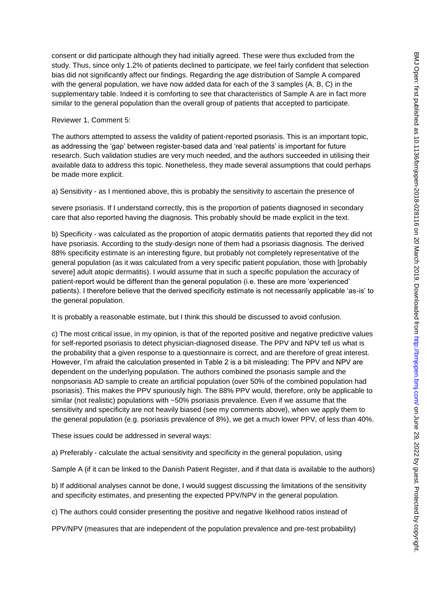consent or did participate although they had initially agreed. These were thus excluded from the study. Thus, since only 1.2% of patients declined to participate, we feel fairly confident that selection bias did not significantly affect our findings. Regarding the age distribution of Sample A compared with the general population, we have now added data for each of the 3 samples (A, B, C) in the supplementary table. Indeed it is comforting to see that characteristics of Sample A are in fact more similar to the general population than the overall group of patients that accepted to participate.

### Reviewer 1, Comment 5:

The authors attempted to assess the validity of patient-reported psoriasis. This is an important topic, as addressing the 'gap' between register-based data and 'real patients' is important for future research. Such validation studies are very much needed, and the authors succeeded in utilising their available data to address this topic. Nonetheless, they made several assumptions that could perhaps be made more explicit.

a) Sensitivity - as I mentioned above, this is probably the sensitivity to ascertain the presence of

severe psoriasis. If I understand correctly, this is the proportion of patients diagnosed in secondary care that also reported having the diagnosis. This probably should be made explicit in the text.

b) Specificity - was calculated as the proportion of atopic dermatitis patients that reported they did not have psoriasis. According to the study-design none of them had a psoriasis diagnosis. The derived 88% specificity estimate is an interesting figure, but probably not completely representative of the general population (as it was calculated from a very specific patient population, those with [probably severe] adult atopic dermatitis). I would assume that in such a specific population the accuracy of patient-report would be different than the general population (i.e. these are more 'experienced' patients). I therefore believe that the derived specificity estimate is not necessarily applicable 'as-is' to the general population.

It is probably a reasonable estimate, but I think this should be discussed to avoid confusion.

c) The most critical issue, in my opinion, is that of the reported positive and negative predictive values for self-reported psoriasis to detect physician-diagnosed disease. The PPV and NPV tell us what is the probability that a given response to a questionnaire is correct, and are therefore of great interest. However, I'm afraid the calculation presented in Table 2 is a bit misleading: The PPV and NPV are dependent on the underlying population. The authors combined the psoriasis sample and the nonpsoriasis AD sample to create an artificial population (over 50% of the combined population had psoriasis). This makes the PPV spuriously high. The 88% PPV would, therefore, only be applicable to similar (not realistic) populations with ~50% psoriasis prevalence. Even if we assume that the sensitivity and specificity are not heavily biased (see my comments above), when we apply them to the general population (e.g. psoriasis prevalence of 8%), we get a much lower PPV, of less than 40%.

These issues could be addressed in several ways:

a) Preferably - calculate the actual sensitivity and specificity in the general population, using

Sample A (if it can be linked to the Danish Patient Register, and if that data is available to the authors)

b) If additional analyses cannot be done, I would suggest discussing the limitations of the sensitivity and specificity estimates, and presenting the expected PPV/NPV in the general population.

c) The authors could consider presenting the positive and negative likelihood ratios instead of

PPV/NPV (measures that are independent of the population prevalence and pre-test probability)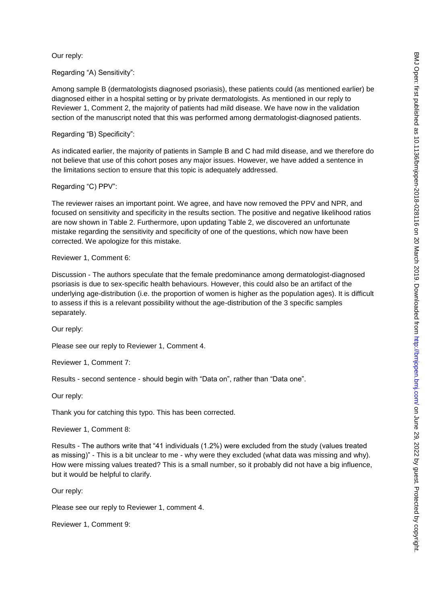Our reply:

Regarding "A) Sensitivity":

Among sample B (dermatologists diagnosed psoriasis), these patients could (as mentioned earlier) be diagnosed either in a hospital setting or by private dermatologists. As mentioned in our reply to Reviewer 1, Comment 2, the majority of patients had mild disease. We have now in the validation section of the manuscript noted that this was performed among dermatologist-diagnosed patients.

Regarding "B) Specificity":

As indicated earlier, the majority of patients in Sample B and C had mild disease, and we therefore do not believe that use of this cohort poses any major issues. However, we have added a sentence in the limitations section to ensure that this topic is adequately addressed.

Regarding "C) PPV":

The reviewer raises an important point. We agree, and have now removed the PPV and NPR, and focused on sensitivity and specificity in the results section. The positive and negative likelihood ratios are now shown in Table 2. Furthermore, upon updating Table 2, we discovered an unfortunate mistake regarding the sensitivity and specificity of one of the questions, which now have been corrected. We apologize for this mistake.

#### Reviewer 1, Comment 6:

Discussion - The authors speculate that the female predominance among dermatologist-diagnosed psoriasis is due to sex-specific health behaviours. However, this could also be an artifact of the underlying age-distribution (i.e. the proportion of women is higher as the population ages). It is difficult to assess if this is a relevant possibility without the age-distribution of the 3 specific samples separately.

Our reply:

Please see our reply to Reviewer 1, Comment 4.

Reviewer 1, Comment 7:

Results - second sentence - should begin with "Data on", rather than "Data one".

Our reply:

Thank you for catching this typo. This has been corrected.

Reviewer 1, Comment 8:

Results - The authors write that "41 individuals (1.2%) were excluded from the study (values treated as missing)" - This is a bit unclear to me - why were they excluded (what data was missing and why). How were missing values treated? This is a small number, so it probably did not have a big influence, but it would be helpful to clarify.

Our reply:

Please see our reply to Reviewer 1, comment 4.

Reviewer 1, Comment 9: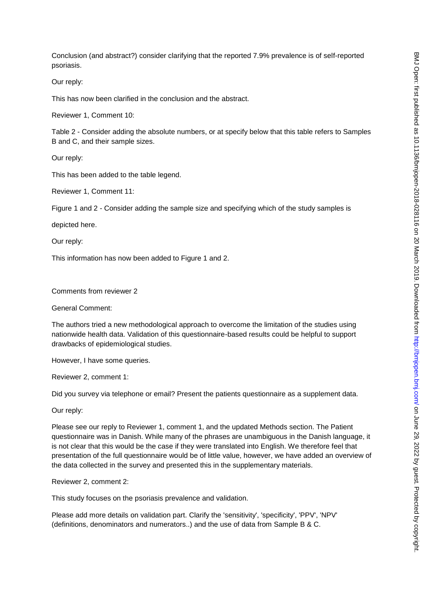Conclusion (and abstract?) consider clarifying that the reported 7.9% prevalence is of self-reported psoriasis.

Our reply:

This has now been clarified in the conclusion and the abstract.

Reviewer 1, Comment 10:

Table 2 - Consider adding the absolute numbers, or at specify below that this table refers to Samples B and C, and their sample sizes.

Our reply:

This has been added to the table legend.

Reviewer 1, Comment 11:

Figure 1 and 2 - Consider adding the sample size and specifying which of the study samples is

depicted here.

Our reply:

This information has now been added to Figure 1 and 2.

Comments from reviewer 2

General Comment:

The authors tried a new methodological approach to overcome the limitation of the studies using nationwide health data. Validation of this questionnaire-based results could be helpful to support drawbacks of epidemiological studies.

However, I have some queries.

Reviewer 2, comment 1:

Did you survey via telephone or email? Present the patients questionnaire as a supplement data.

Our reply:

Please see our reply to Reviewer 1, comment 1, and the updated Methods section. The Patient questionnaire was in Danish. While many of the phrases are unambiguous in the Danish language, it is not clear that this would be the case if they were translated into English. We therefore feel that presentation of the full questionnaire would be of little value, however, we have added an overview of the data collected in the survey and presented this in the supplementary materials.

Reviewer 2, comment 2:

This study focuses on the psoriasis prevalence and validation.

Please add more details on validation part. Clarify the 'sensitivity', 'specificity', 'PPV', 'NPV' (definitions, denominators and numerators..) and the use of data from Sample B & C.